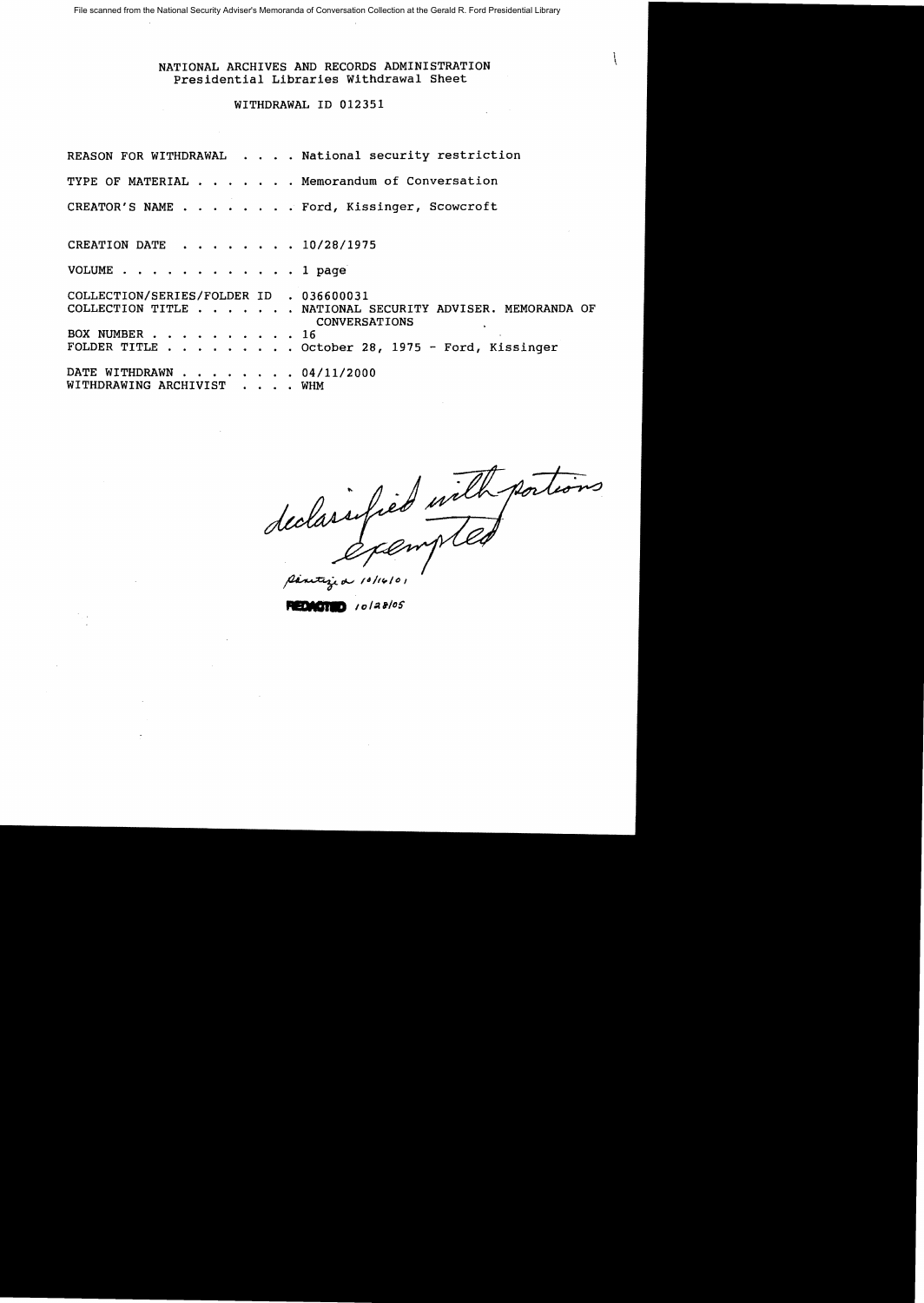File scanned from the National Security Adviser's Memoranda of Conversation Collection at the Gerald R. Ford Presidential Library

NATIONAL ARCHIVES AND RECORDS ADMINISTRATION Presidential Libraries Withdrawal Sheet

# WITHDRAWAL 10 012351

REASON FOR WITHDRAWAL . . . . National security restriction TYPE OF MATERIAL  $\cdot \cdot \cdot \cdot$  . Memorandum of Conversation CREATOR'S NAME . . . . . . . . Ford, Kissinger, Scowcroft CREATION DATE . . . . . . . 10/28/1975 VOLUME . . . . . . . . . . . . 1 page COLLECTION/SERIES/FOLDER 10 • 036600031 COLLECTION TITLE . . . . . . NATIONAL SECURITY ADVISER. MEMORANDA OF CONVERSATIONS BOX NUMBER . . . . . . . . . . 16<br>FOLDER TITLE . . . . . . . . . Oct  $\cdots$  . . . October 28, 1975 - Ford, Kissinger DATE WITHDRAWN . . . . . . . 04/11/2000 WITHDRAWING ARCHIVIST . . . . WHM

 $\frac{1}{\beta}$  10/14/01

**.....** I"*<sup>I</sup> aleS'*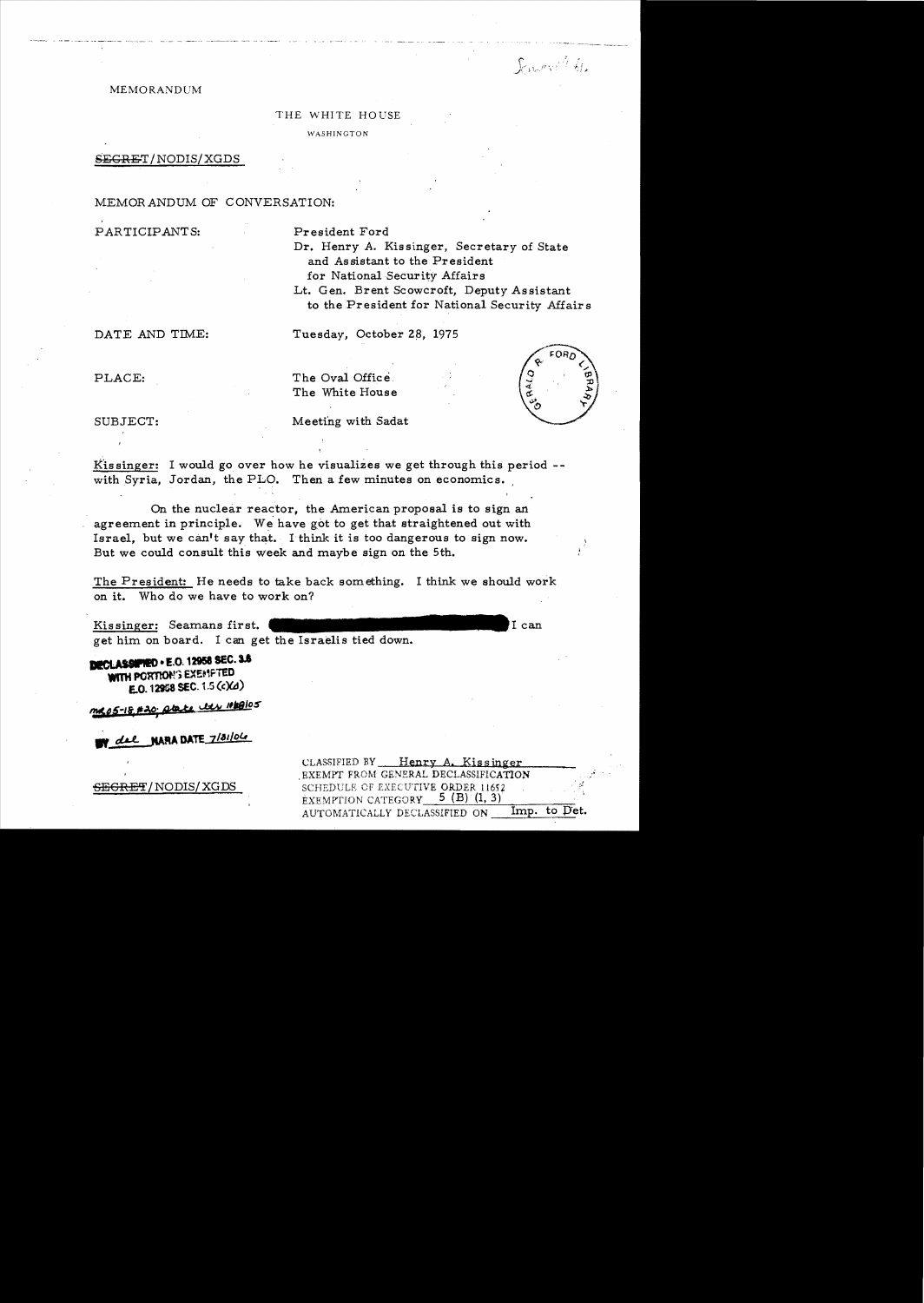Facer the

#### MEMORANDUM

#### THE WHITE HOUSE

WASHINGTON

### ${SEGRET/ NODIS/XGDS}$

### MEMORANDUM OF CONVERSATION:

PARTICIPANTS: President Ford

Dr. Henry A. Kissinger, Secretary of State and Assistant to the President for National Security Affairs Lt. Gen. Brent Scowcroft, Deputy Assistant to the President for National Security Affairs

DATE AND TIME: Tuesday, October 28, 1975

PLACE: The Oval Office.

The White House

SUBJECT: Meeting with Sadat

Kissinger: I would go over how he visualizes we get through this period  $$ with Syria, Jordan, the PLO. Then a few minutes on economics.

On the nuclear reactor, the American proposal is to sign an agreement in principle. We have got to get that straightened out with Israel, but we can't say that. I think it is too dangerous to sign now. But we could consult this week and maybe sign on the 5th.

The President: He needs to take back something. I think we should work on it. Who do we have to work on?

Kissinger: Seamans first. get him on board. I can get the Israelis tied down.

**DECLASSIPIED . E.O. 12958 SEC. 3.6** WITH PORTION'S EXEMPTED **£'0. 12t58** seC. 1.5 **(c)ell)** 

**'l::SeS-lI***t* **eMj AIa.4** *lI!lSloS* 

del NARA DATE 7/31/04

CLASSIFIED BY Henry A. Kissinger . EXEMPT FROM GENERAL DECLASSIFICATION , ;4" SECR§F'INODIS/ XGDS , ;4" SCHEDULE OF EXECUTIVE ORDER 11652 EXEMPTION CATEGORY  $5 (B) (1, 3)$ AUTOMATICALLY DECLASSIFIED ON Imp. to Det.

I can